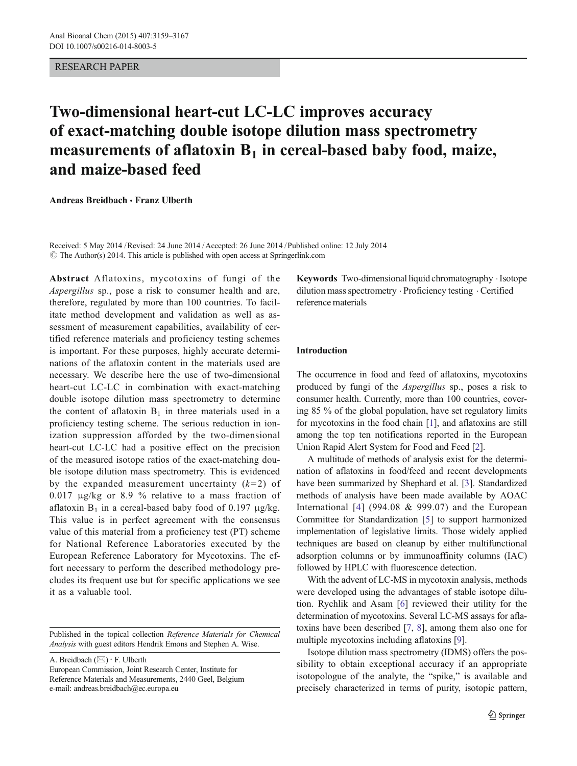## RESEARCH PAPER

# Two-dimensional heart-cut LC-LC improves accuracy of exact-matching double isotope dilution mass spectrometry measurements of aflatoxin  $B_1$  in cereal-based baby food, maize, and maize-based feed

Andreas Breidbach & Franz Ulberth

© The Author(s) 2014. This article is published with open access at Springerlink.com Received: 5 May 2014 /Revised: 24 June 2014 /Accepted: 26 June 2014 /Published online: 12 July 2014

Abstract Aflatoxins, mycotoxins of fungi of the Aspergillus sp., pose a risk to consumer health and are, therefore, regulated by more than 100 countries. To facilitate method development and validation as well as assessment of measurement capabilities, availability of certified reference materials and proficiency testing schemes is important. For these purposes, highly accurate determinations of the aflatoxin content in the materials used are necessary. We describe here the use of two-dimensional heart-cut LC-LC in combination with exact-matching double isotope dilution mass spectrometry to determine the content of aflatoxin  $B_1$  in three materials used in a proficiency testing scheme. The serious reduction in ionization suppression afforded by the two-dimensional heart-cut LC-LC had a positive effect on the precision of the measured isotope ratios of the exact-matching double isotope dilution mass spectrometry. This is evidenced by the expanded measurement uncertainty  $(k=2)$  of 0.017 μg/kg or 8.9 % relative to a mass fraction of aflatoxin  $B_1$  in a cereal-based baby food of 0.197 μg/kg. This value is in perfect agreement with the consensus value of this material from a proficiency test (PT) scheme for National Reference Laboratories executed by the European Reference Laboratory for Mycotoxins. The effort necessary to perform the described methodology precludes its frequent use but for specific applications we see it as a valuable tool.

Published in the topical collection Reference Materials for Chemical Analysis with guest editors Hendrik Emons and Stephen A. Wise.

A. Breidbach  $(\boxtimes) \cdot$  F. Ulberth

European Commission, Joint Research Center, Institute for Reference Materials and Measurements, 2440 Geel, Belgium e-mail: andreas.breidbach@ec.europa.eu

Keywords Two-dimensional liquid chromatography  $\cdot$  Isotope dilution mass spectrometry . Proficiency testing . Certified reference materials

# Introduction

The occurrence in food and feed of aflatoxins, mycotoxins produced by fungi of the Aspergillus sp., poses a risk to consumer health. Currently, more than 100 countries, covering 85 % of the global population, have set regulatory limits for mycotoxins in the food chain [\[1\]](#page-7-0), and aflatoxins are still among the top ten notifications reported in the European Union Rapid Alert System for Food and Feed [[2\]](#page-7-0).

A multitude of methods of analysis exist for the determination of aflatoxins in food/feed and recent developments have been summarized by Shephard et al. [[3\]](#page-7-0). Standardized methods of analysis have been made available by AOAC International  $[4]$  $[4]$  $[4]$  (994.08 & 999.07) and the European Committee for Standardization [\[5](#page-8-0)] to support harmonized implementation of legislative limits. Those widely applied techniques are based on cleanup by either multifunctional adsorption columns or by immunoaffinity columns (IAC) followed by HPLC with fluorescence detection.

With the advent of LC-MS in mycotoxin analysis, methods were developed using the advantages of stable isotope dilution. Rychlik and Asam [\[6](#page-8-0)] reviewed their utility for the determination of mycotoxins. Several LC-MS assays for aflatoxins have been described [[7,](#page-8-0) [8](#page-8-0)], among them also one for multiple mycotoxins including aflatoxins [[9\]](#page-8-0).

Isotope dilution mass spectrometry (IDMS) offers the possibility to obtain exceptional accuracy if an appropriate isotopologue of the analyte, the "spike," is available and precisely characterized in terms of purity, isotopic pattern,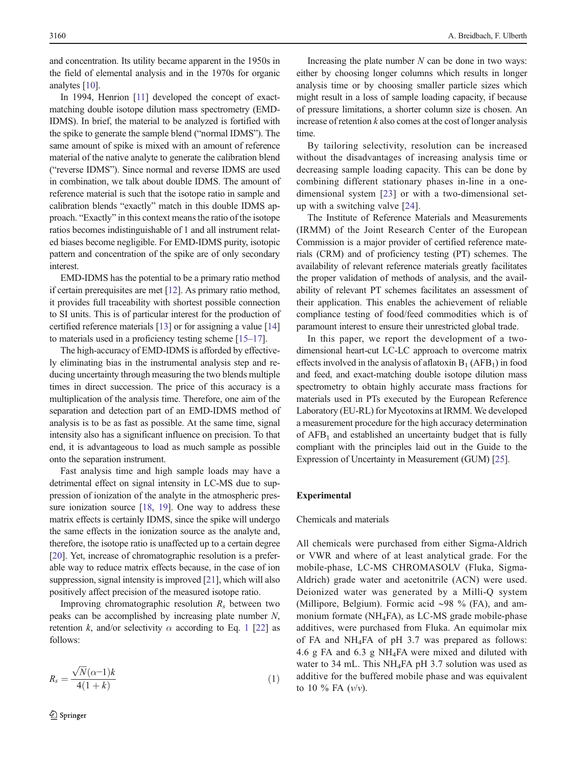and concentration. Its utility became apparent in the 1950s in the field of elemental analysis and in the 1970s for organic analytes [\[10](#page-8-0)].

In 1994, Henrion [[11](#page-8-0)] developed the concept of exactmatching double isotope dilution mass spectrometry (EMD-IDMS). In brief, the material to be analyzed is fortified with the spike to generate the sample blend ("normal IDMS"). The same amount of spike is mixed with an amount of reference material of the native analyte to generate the calibration blend ("reverse IDMS"). Since normal and reverse IDMS are used in combination, we talk about double IDMS. The amount of reference material is such that the isotope ratio in sample and calibration blends "exactly" match in this double IDMS approach. "Exactly" in this context means the ratio of the isotope ratios becomes indistinguishable of 1 and all instrument related biases become negligible. For EMD-IDMS purity, isotopic pattern and concentration of the spike are of only secondary interest.

EMD-IDMS has the potential to be a primary ratio method if certain prerequisites are met [\[12](#page-8-0)]. As primary ratio method, it provides full traceability with shortest possible connection to SI units. This is of particular interest for the production of certified reference materials [\[13\]](#page-8-0) or for assigning a value [\[14\]](#page-8-0) to materials used in a proficiency testing scheme [\[15](#page-8-0)–[17\]](#page-8-0).

The high-accuracy of EMD-IDMS is afforded by effectively eliminating bias in the instrumental analysis step and reducing uncertainty through measuring the two blends multiple times in direct succession. The price of this accuracy is a multiplication of the analysis time. Therefore, one aim of the separation and detection part of an EMD-IDMS method of analysis is to be as fast as possible. At the same time, signal intensity also has a significant influence on precision. To that end, it is advantageous to load as much sample as possible onto the separation instrument.

Fast analysis time and high sample loads may have a detrimental effect on signal intensity in LC-MS due to suppression of ionization of the analyte in the atmospheric pres-sure ionization source [\[18,](#page-8-0) [19](#page-8-0)]. One way to address these matrix effects is certainly IDMS, since the spike will undergo the same effects in the ionization source as the analyte and, therefore, the isotope ratio is unaffected up to a certain degree [\[20\]](#page-8-0). Yet, increase of chromatographic resolution is a preferable way to reduce matrix effects because, in the case of ion suppression, signal intensity is improved [\[21\]](#page-8-0), which will also positively affect precision of the measured isotope ratio.

Improving chromatographic resolution  $R_s$  between two peaks can be accomplished by increasing plate number N, retention k, and/or selectivity  $\alpha$  according to Eq. 1 [\[22\]](#page-8-0) as follows:

$$
R_s = \frac{\sqrt{N}(\alpha - 1)k}{4(1 + k)}\tag{1}
$$

Increasing the plate number  $N$  can be done in two ways: either by choosing longer columns which results in longer analysis time or by choosing smaller particle sizes which might result in a loss of sample loading capacity, if because of pressure limitations, a shorter column size is chosen. An increase of retention  $k$  also comes at the cost of longer analysis time.

By tailoring selectivity, resolution can be increased without the disadvantages of increasing analysis time or decreasing sample loading capacity. This can be done by combining different stationary phases in-line in a onedimensional system [[23\]](#page-8-0) or with a two-dimensional setup with a switching valve [\[24](#page-8-0)].

The Institute of Reference Materials and Measurements (IRMM) of the Joint Research Center of the European Commission is a major provider of certified reference materials (CRM) and of proficiency testing (PT) schemes. The availability of relevant reference materials greatly facilitates the proper validation of methods of analysis, and the availability of relevant PT schemes facilitates an assessment of their application. This enables the achievement of reliable compliance testing of food/feed commodities which is of paramount interest to ensure their unrestricted global trade.

In this paper, we report the development of a twodimensional heart-cut LC-LC approach to overcome matrix effects involved in the analysis of aflatoxin  $B_1$  (AFB<sub>1</sub>) in food and feed, and exact-matching double isotope dilution mass spectrometry to obtain highly accurate mass fractions for materials used in PTs executed by the European Reference Laboratory (EU-RL) for Mycotoxins at IRMM. We developed a measurement procedure for the high accuracy determination of  $AFB<sub>1</sub>$  and established an uncertainty budget that is fully compliant with the principles laid out in the Guide to the Expression of Uncertainty in Measurement (GUM) [\[25\]](#page-8-0).

# Experimental

#### Chemicals and materials

All chemicals were purchased from either Sigma-Aldrich or VWR and where of at least analytical grade. For the mobile-phase, LC-MS CHROMASOLV (Fluka, Sigma-Aldrich) grade water and acetonitrile (ACN) were used. Deionized water was generated by a Milli-Q system (Millipore, Belgium). Formic acid ∼98 % (FA), and ammonium formate (NH4FA), as LC-MS grade mobile-phase additives, were purchased from Fluka. An equimolar mix of FA and NH4FA of pH 3.7 was prepared as follows: 4.6 g FA and 6.3 g NH4FA were mixed and diluted with water to 34 mL. This NH<sub>4</sub>FA pH 3.7 solution was used as additive for the buffered mobile phase and was equivalent to 10  $\%$  FA ( $v/v$ ).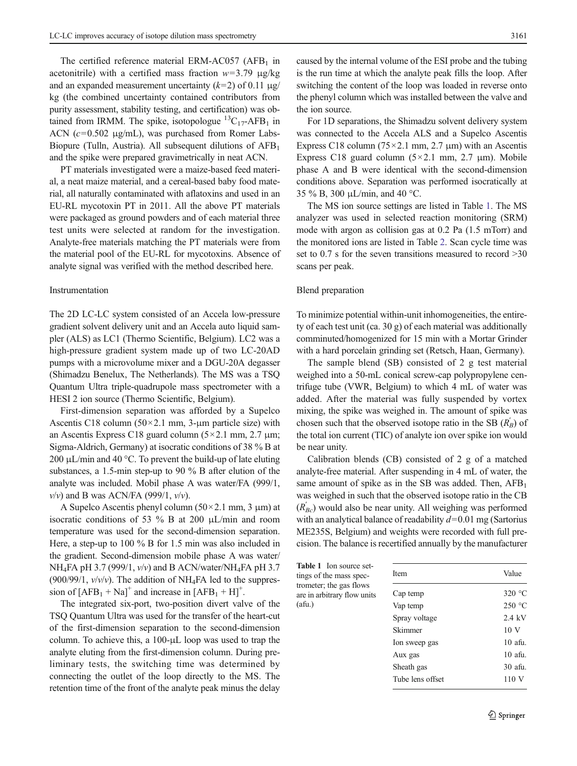The certified reference material ERM-AC057 (AFB $_1$  in acetonitrile) with a certified mass fraction  $w=3.79 \mu g/kg$ and an expanded measurement uncertainty  $(k=2)$  of 0.11  $\mu$ g/ kg (the combined uncertainty contained contributors from purity assessment, stability testing, and certification) was obtained from IRMM. The spike, isotopologue  ${}^{13}C_{17}$ -AFB<sub>1</sub> in ACN  $(c=0.502 \mu g/mL)$ , was purchased from Romer Labs-Biopure (Tulln, Austria). All subsequent dilutions of  $AFB<sub>1</sub>$ and the spike were prepared gravimetrically in neat ACN.

PT materials investigated were a maize-based feed material, a neat maize material, and a cereal-based baby food material, all naturally contaminated with aflatoxins and used in an EU-RL mycotoxin PT in 2011. All the above PT materials were packaged as ground powders and of each material three test units were selected at random for the investigation. Analyte-free materials matching the PT materials were from the material pool of the EU-RL for mycotoxins. Absence of analyte signal was verified with the method described here.

#### Instrumentation

The 2D LC-LC system consisted of an Accela low-pressure gradient solvent delivery unit and an Accela auto liquid sampler (ALS) as LC1 (Thermo Scientific, Belgium). LC2 was a high-pressure gradient system made up of two LC-20AD pumps with a microvolume mixer and a DGU-20A degasser (Shimadzu Benelux, The Netherlands). The MS was a TSQ Quantum Ultra triple-quadrupole mass spectrometer with a HESI 2 ion source (Thermo Scientific, Belgium).

First-dimension separation was afforded by a Supelco Ascentis C18 column  $(50 \times 2.1 \text{ mm}, 3 \text{-} \mu \text{m})$  particle size) with an Ascentis Express C18 guard column  $(5 \times 2.1 \text{ mm}, 2.7 \text{ mm})$ ; Sigma-Aldrich, Germany) at isocratic conditions of 38 % B at 200 μL/min and 40 °C. To prevent the build-up of late eluting substances, a 1.5-min step-up to 90 % B after elution of the analyte was included. Mobil phase A was water/FA (999/1,  $v/v$ ) and B was ACN/FA (999/1,  $v/v$ ).

A Supelco Ascentis phenyl column  $(50 \times 2.1 \text{ mm}, 3 \text{ }\mu\text{m})$  at isocratic conditions of 53 % B at 200 μL/min and room temperature was used for the second-dimension separation. Here, a step-up to 100 % B for 1.5 min was also included in the gradient. Second-dimension mobile phase A was water/ NH<sub>4</sub>FA pH 3.7 (999/1,  $v/v$ ) and B ACN/water/NH<sub>4</sub>FA pH 3.7 (900/99/1,  $v/v/v$ ). The addition of NH<sub>4</sub>FA led to the suppression of  $[AFB<sub>1</sub> + Na]<sup>+</sup>$  and increase in  $[AFB<sub>1</sub> + H]<sup>+</sup>$ .

The integrated six-port, two-position divert valve of the TSQ Quantum Ultra was used for the transfer of the heart-cut of the first-dimension separation to the second-dimension column. To achieve this, a 100-μL loop was used to trap the analyte eluting from the first-dimension column. During preliminary tests, the switching time was determined by connecting the outlet of the loop directly to the MS. The retention time of the front of the analyte peak minus the delay

caused by the internal volume of the ESI probe and the tubing is the run time at which the analyte peak fills the loop. After switching the content of the loop was loaded in reverse onto the phenyl column which was installed between the valve and the ion source.

For 1D separations, the Shimadzu solvent delivery system was connected to the Accela ALS and a Supelco Ascentis Express C18 column ( $75 \times 2.1$  mm, 2.7  $\mu$ m) with an Ascentis Express C18 guard column  $(5 \times 2.1 \text{ mm}, 2.7 \text{ \mu m})$ . Mobile phase A and B were identical with the second-dimension conditions above. Separation was performed isocratically at 35 % B, 300 μL/min, and 40 °C.

The MS ion source settings are listed in Table 1. The MS analyzer was used in selected reaction monitoring (SRM) mode with argon as collision gas at 0.2 Pa (1.5 mTorr) and the monitored ions are listed in Table [2](#page-3-0). Scan cycle time was set to 0.7 s for the seven transitions measured to record  $>30$ scans per peak.

#### Blend preparation

To minimize potential within-unit inhomogeneities, the entirety of each test unit (ca. 30 g) of each material was additionally comminuted/homogenized for 15 min with a Mortar Grinder with a hard porcelain grinding set (Retsch, Haan, Germany).

The sample blend (SB) consisted of 2 g test material weighed into a 50-mL conical screw-cap polypropylene centrifuge tube (VWR, Belgium) to which 4 mL of water was added. After the material was fully suspended by vortex mixing, the spike was weighed in. The amount of spike was chosen such that the observed isotope ratio in the SB  $(R'_{B})$  of the total ion current (TIC) of analyte ion over spike ion would be near unity.

Calibration blends (CB) consisted of 2 g of a matched analyte-free material. After suspending in 4 mL of water, the same amount of spike as in the SB was added. Then,  $AFB<sub>1</sub>$ was weighed in such that the observed isotope ratio in the CB  $(R_{BC})$  would also be near unity. All weighing was performed with an analytical balance of readability  $d=0.01$  mg (Sartorius ME235S, Belgium) and weights were recorded with full precision. The balance is recertified annually by the manufacturer

Table 1 Ion source settings of the mass spectrometer; the gas flows are in arbitrary flow units (afu.)

| Item             | Value            |  |
|------------------|------------------|--|
| Cap temp         | 320 $\degree$ C  |  |
| Vap temp         | 250 °C           |  |
| Spray voltage    | $2.4 \text{ kV}$ |  |
| Skimmer          | 10 <sub>V</sub>  |  |
| lon sweep gas    | $10$ afu.        |  |
| Aux gas          | $10$ afu.        |  |
| Sheath gas       | $30$ afu.        |  |
| Tube lens offset | 110V             |  |
|                  |                  |  |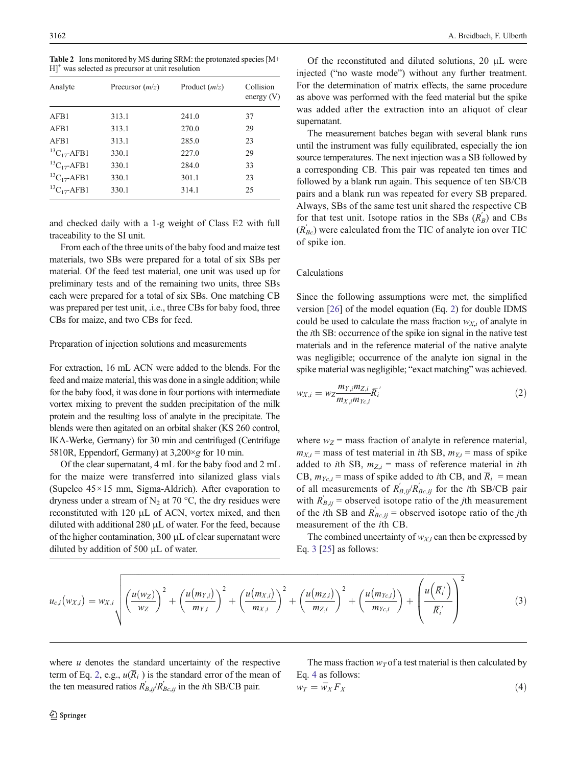<span id="page-3-0"></span>Table 2 Ions monitored by MS during SRM: the protonated species [M+  $H$ <sup>+</sup> was selected as precursor at unit resolution

| Analyte               | Precursor $(m/z)$ | Product $(m/z)$ | Collision<br>energy $(V)$ |
|-----------------------|-------------------|-----------------|---------------------------|
| AFB1                  | 313.1             | 241.0           | 37                        |
| AFB1                  | 313.1             | 270.0           | 29                        |
| AFB1                  | 313.1             | 285.0           | 23                        |
| ${}^{13}C_{17}$ -AFB1 | 330.1             | 227.0           | 29                        |
| ${}^{13}C_{17}$ -AFB1 | 330.1             | 284.0           | 33                        |
| ${}^{13}C_{17}$ -AFB1 | 330.1             | 301.1           | 23                        |
| ${}^{13}C_{17}$ -AFB1 | 330.1             | 314.1           | 25                        |

and checked daily with a 1-g weight of Class E2 with full traceability to the SI unit.

From each of the three units of the baby food and maize test materials, two SBs were prepared for a total of six SBs per material. Of the feed test material, one unit was used up for preliminary tests and of the remaining two units, three SBs each were prepared for a total of six SBs. One matching CB was prepared per test unit, .i.e., three CBs for baby food, three CBs for maize, and two CBs for feed.

#### Preparation of injection solutions and measurements

For extraction, 16 mL ACN were added to the blends. For the feed and maize material, this was done in a single addition; while for the baby food, it was done in four portions with intermediate vortex mixing to prevent the sudden precipitation of the milk protein and the resulting loss of analyte in the precipitate. The blends were then agitated on an orbital shaker (KS 260 control, IKA-Werke, Germany) for 30 min and centrifuged (Centrifuge 5810R, Eppendorf, Germany) at  $3,200 \times g$  for 10 min.

Of the clear supernatant, 4 mL for the baby food and 2 mL for the maize were transferred into silanized glass vials (Supelco 45×15 mm, Sigma-Aldrich). After evaporation to dryness under a stream of  $N_2$  at 70 °C, the dry residues were reconstituted with 120 μL of ACN, vortex mixed, and then diluted with additional 280 μL of water. For the feed, because of the higher contamination, 300 μL of clear supernatant were diluted by addition of 500 μL of water.

Of the reconstituted and diluted solutions, 20 μL were injected ("no waste mode") without any further treatment. For the determination of matrix effects, the same procedure as above was performed with the feed material but the spike was added after the extraction into an aliquot of clear supernatant.

The measurement batches began with several blank runs until the instrument was fully equilibrated, especially the ion source temperatures. The next injection was a SB followed by a corresponding CB. This pair was repeated ten times and followed by a blank run again. This sequence of ten SB/CB pairs and a blank run was repeated for every SB prepared. Always, SBs of the same test unit shared the respective CB for that test unit. Isotope ratios in the SBs  $(R_B)$  and CBs  $(R_{BC})$  were calculated from the TIC of analyte ion over TIC of spike ion.

#### Calculations

Since the following assumptions were met, the simplified version [[26](#page-8-0)] of the model equation (Eq. 2) for double IDMS could be used to calculate the mass fraction  $w_{Xi}$  of analyte in the ith SB: occurrence of the spike ion signal in the native test materials and in the reference material of the native analyte was negligible; occurrence of the analyte ion signal in the spike material was negligible; "exact matching" was achieved.

$$
w_{X,i} = w_Z \frac{m_{Y,i} m_{Z,i}}{m_{X,i} m_{Yc,i}} \overline{R}_i' \tag{2}
$$

where  $w_Z$  = mass fraction of analyte in reference material,  $m_{X,i}$  = mass of test material in *i*th SB,  $m_{Y,i}$  = mass of spike added to *i*th SB,  $m_{Z,i}$  = mass of reference material in *i*th CB,  $m_{Yc,i}$  = mass of spike added to *i*th CB, and  $\overline{R}_i$  = mean of all measurements of  $R_{B,ij}^{'}/R_{Bc,ij}^{'}$  for the *i*th SB/CB pair with  $R'_{B,ij}$  = observed isotope ratio of the *j*th measurement of the *i*th SB and  $R_{Bc,ij}$  = observed isotope ratio of the *j*th measurement of the ith CB.

The combined uncertainty of  $w_{Xi}$  can then be expressed by Eq.  $3$  [[25\]](#page-8-0) as follows:

$$
u_{c,i}(w_{X,i}) = w_{X,i} \sqrt{\left(\frac{u(w_Z)}{w_Z}\right)^2 + \left(\frac{u(m_{Y,i})}{m_{Y,i}}\right)^2 + \left(\frac{u(m_{X,i})}{m_{X,i}}\right)^2 + \left(\frac{u(m_{Z,i})}{m_{Z,i}}\right)^2 + \left(\frac{u(m_{Yc,i})}{m_{Yc,i}}\right) + \left(\frac{u(\overline{R_i})}{\overline{R_i}}\right)^2}
$$
(3)

where  $u$  denotes the standard uncertainty of the respective term of Eq. 2, e.g.,  $u(\overline{R}_i)$  is the standard error of the mean of the ten measured ratios  $R'_{B,ij}/R'_{BC,ij}$  in the *i*th SB/CB pair.

The mass fraction  $w<sub>T</sub>$  of a test material is then calculated by Eq. 4 as follows:

$$
w_T = \overline{w}_X F_X \tag{4}
$$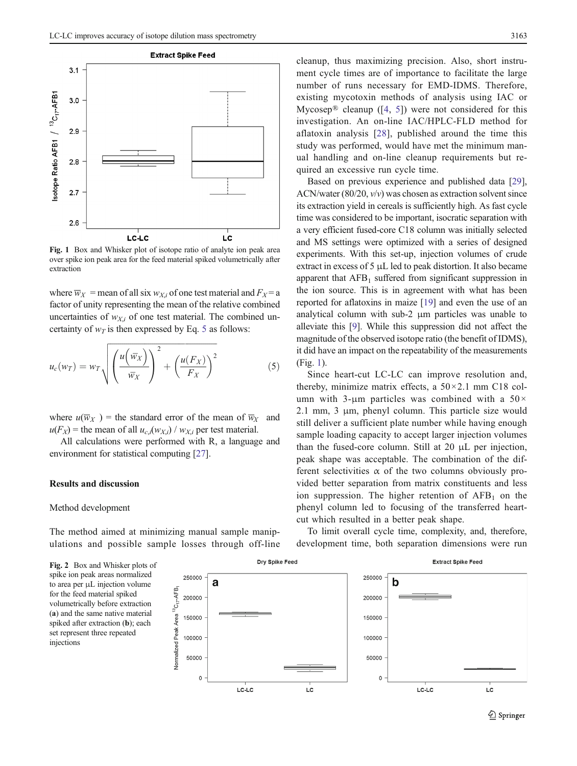<span id="page-4-0"></span>

Fig. 1 Box and Whisker plot of isotope ratio of analyte ion peak area over spike ion peak area for the feed material spiked volumetrically after extraction

where  $\overline{w}_X$  = mean of all six  $w_{X,i}$  of one test material and  $F_X$  = a factor of unity representing the mean of the relative combined uncertainties of  $w_{Xi}$  of one test material. The combined uncertainty of  $w_T$  is then expressed by Eq. 5 as follows:

$$
u_c(w_T) = w_T \sqrt{\left(\frac{u(\overline{w}_X)}{\overline{w}_X}\right)^2 + \left(\frac{u(F_X)}{F_X}\right)^2}
$$
 (5)

where  $u(\overline{w}_X)$  = the standard error of the mean of  $\overline{w}_X$  and  $u(F_X)$  = the mean of all  $u_{c,i}(w_{X,i}) / w_{X,i}$  per test material.

All calculations were performed with R, a language and environment for statistical computing [\[27](#page-8-0)].

#### Results and discussion

### Method development

The method aimed at minimizing manual sample manipulations and possible sample losses through off-line cleanup, thus maximizing precision. Also, short instrument cycle times are of importance to facilitate the large number of runs necessary for EMD-IDMS. Therefore, existing mycotoxin methods of analysis using IAC or Mycosep<sup>®</sup> cleanup ([\[4](#page-7-0), [5](#page-8-0)]) were not considered for this investigation. An on-line IAC/HPLC-FLD method for aflatoxin analysis [[28](#page-8-0)], published around the time this study was performed, would have met the minimum manual handling and on-line cleanup requirements but required an excessive run cycle time.

Based on previous experience and published data [[29\]](#page-8-0), ACN/water  $(80/20, v/v)$  was chosen as extraction solvent since its extraction yield in cereals is sufficiently high. As fast cycle time was considered to be important, isocratic separation with a very efficient fused-core C18 column was initially selected and MS settings were optimized with a series of designed experiments. With this set-up, injection volumes of crude extract in excess of 5 μL led to peak distortion. It also became apparent that  $AFB<sub>1</sub>$  suffered from significant suppression in the ion source. This is in agreement with what has been reported for aflatoxins in maize [\[19](#page-8-0)] and even the use of an analytical column with sub-2 μm particles was unable to alleviate this [[9\]](#page-8-0). While this suppression did not affect the magnitude of the observed isotope ratio (the benefit of IDMS), it did have an impact on the repeatability of the measurements (Fig. 1).

Since heart-cut LC-LC can improve resolution and, thereby, minimize matrix effects, a  $50 \times 2.1$  mm C18 column with 3-μm particles was combined with a  $50\times$ 2.1 mm, 3 μm, phenyl column. This particle size would still deliver a sufficient plate number while having enough sample loading capacity to accept larger injection volumes than the fused-core column. Still at 20 μL per injection, peak shape was acceptable. The combination of the different selectivities  $\alpha$  of the two columns obviously provided better separation from matrix constituents and less ion suppression. The higher retention of  $AFB<sub>1</sub>$  on the phenyl column led to focusing of the transferred heartcut which resulted in a better peak shape.

To limit overall cycle time, complexity, and, therefore, development time, both separation dimensions were run

Fig. 2 Box and Whisker plots of spike ion peak areas normalized to area per μL injection volume for the feed material spiked volumetrically before extraction (a) and the same native material spiked after extraction (b); each set represent three repeated injections

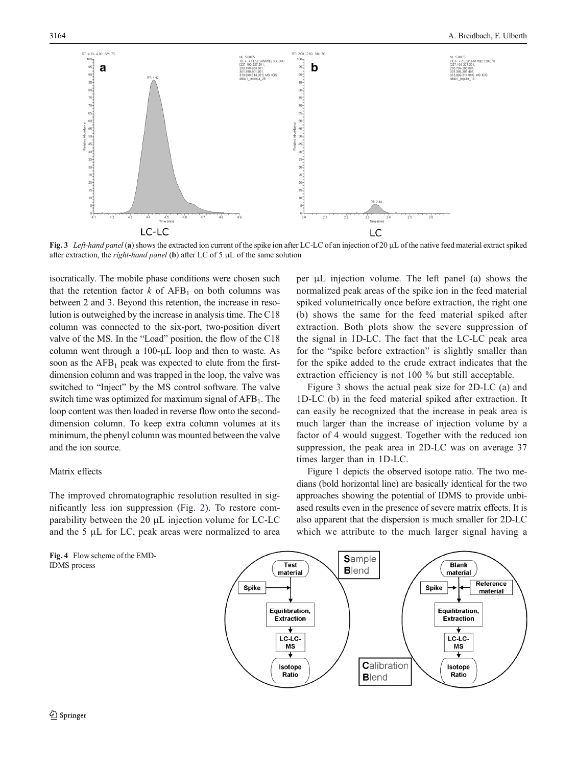<span id="page-5-0"></span>

Fig. 3 Left-hand panel (a) shows the extracted ion current of the spike ion after LC-LC of an injection of 20 µL of the native feed material extract spiked after extraction, the *right-hand panel* (b) after LC of 5  $\mu$ L of the same solution

isocratically. The mobile phase conditions were chosen such that the retention factor  $k$  of AFB<sub>1</sub> on both columns was between 2 and 3. Beyond this retention, the increase in resolution is outweighed by the increase in analysis time. The C18 column was connected to the six-port, two-position divert valve of the MS. In the "Load" position, the flow of the C18 column went through a 100-μL loop and then to waste. As soon as the  $AFB<sub>1</sub>$  peak was expected to elute from the firstdimension column and was trapped in the loop, the valve was switched to "Inject" by the MS control software. The valve switch time was optimized for maximum signal of  $AFB<sub>1</sub>$ . The loop content was then loaded in reverse flow onto the seconddimension column. To keep extra column volumes at its minimum, the phenyl column was mounted between the valve and the ion source.

## Matrix effects

The improved chromatographic resolution resulted in significantly less ion suppression (Fig. [2\)](#page-4-0). To restore comparability between the 20 μL injection volume for LC-LC and the 5 μL for LC, peak areas were normalized to area

Fig. 4 Flow scheme of the EMD-IDMS process

per μL injection volume. The left panel (a) shows the normalized peak areas of the spike ion in the feed material spiked volumetrically once before extraction, the right one (b) shows the same for the feed material spiked after extraction. Both plots show the severe suppression of the signal in 1D-LC. The fact that the LC-LC peak area for the "spike before extraction" is slightly smaller than for the spike added to the crude extract indicates that the extraction efficiency is not 100 % but still acceptable.

Figure 3 shows the actual peak size for 2D-LC (a) and 1D-LC (b) in the feed material spiked after extraction. It can easily be recognized that the increase in peak area is much larger than the increase of injection volume by a factor of 4 would suggest. Together with the reduced ion suppression, the peak area in 2D-LC was on average 37 times larger than in 1D-LC.

Figure [1](#page-4-0) depicts the observed isotope ratio. The two medians (bold horizontal line) are basically identical for the two approaches showing the potential of IDMS to provide unbiased results even in the presence of severe matrix effects. It is also apparent that the dispersion is much smaller for 2D-LC which we attribute to the much larger signal having a

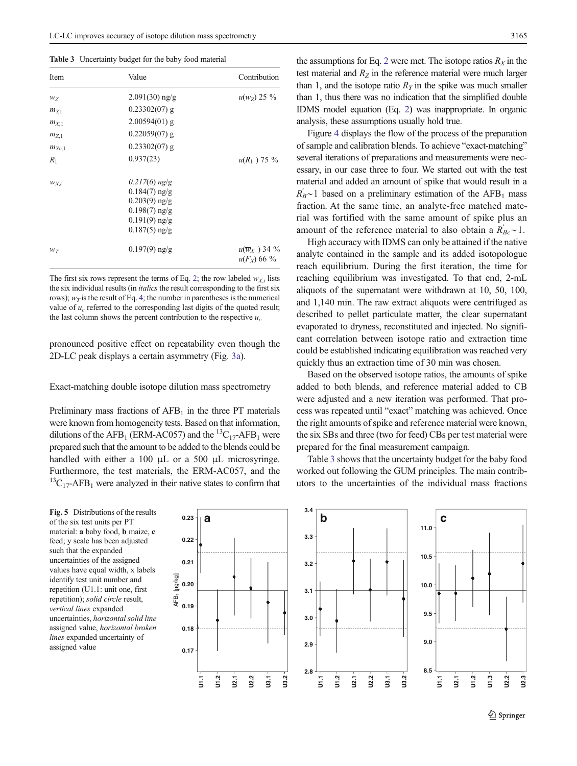<span id="page-6-0"></span>

|  |  |  |  | Table 3 Uncertainty budget for the baby food material |
|--|--|--|--|-------------------------------------------------------|
|--|--|--|--|-------------------------------------------------------|

| Item             | Value                                                                                                          | Contribution                              |
|------------------|----------------------------------------------------------------------------------------------------------------|-------------------------------------------|
| $W_Z$            | $2.091(30)$ ng/g                                                                                               | $u(w_z)$ 25 %                             |
| $m_{Y,1}$        | $0.23302(07)$ g                                                                                                |                                           |
| $m_{X,1}$        | $2.00594(01)$ g                                                                                                |                                           |
| $m_{Z,1}$        | $0.22059(07)$ g                                                                                                |                                           |
| $m_{Yc,1}$       | $0.23302(07)$ g                                                                                                |                                           |
| $\overline{R}_1$ | 0.937(23)                                                                                                      | $u(\overline{R}_1)$ 75 %                  |
| $W_{X,i}$        | $0.217(6)$ ng/g<br>$0.184(7)$ ng/g<br>$0.203(9)$ ng/g<br>$0.198(7)$ ng/g<br>$0.191(9)$ ng/g<br>$0.187(5)$ ng/g |                                           |
| $W_T$            | $0.197(9)$ ng/g                                                                                                | $u(\overline{w}_X)$ 34 %<br>$u(F_X)$ 66 % |

The first six rows represent the terms of Eq. [2](#page-3-0); the row labeled  $w_{Xi}$  lists the six individual results (in italics the result corresponding to the first six rows);  $w_T$  is the result of Eq. [4;](#page-3-0) the number in parentheses is the numerical value of  $u_c$  referred to the corresponding last digits of the quoted result; the last column shows the percent contribution to the respective  $u_c$ 

pronounced positive effect on repeatability even though the 2D-LC peak displays a certain asymmetry (Fig. [3a](#page-5-0)).

Exact-matching double isotope dilution mass spectrometry

Preliminary mass fractions of  $AFB<sub>1</sub>$  in the three PT materials were known from homogeneity tests. Based on that information, dilutions of the AFB<sub>1</sub> (ERM-AC057) and the <sup>13</sup>C<sub>17</sub>-AFB<sub>1</sub> were prepared such that the amount to be added to the blends could be handled with either a 100 μL or a 500 μL microsyringe. Furthermore, the test materials, the ERM-AC057, and the  ${}^{13}C_{17}$ -AFB<sub>1</sub> were analyzed in their native states to confirm that

of the six test units per PT material: a baby food, b maize, c feed; y scale has been adjusted such that the expanded uncertainties of the assigned values have equal width, x labels identify test unit number and repetition (U1.1: unit one, first repetition); solid circle result, vertical lines expanded uncertainties, horizontal solid line assigned value, horizontal broken lines expanded uncertainty of assigned value

the assumptions for Eq. [2](#page-3-0) were met. The isotope ratios  $R_X$  in the test material and  $R<sub>Z</sub>$  in the reference material were much larger than 1, and the isotope ratio  $R<sub>y</sub>$  in the spike was much smaller than 1, thus there was no indication that the simplified double IDMS model equation (Eq. [2\)](#page-3-0) was inappropriate. In organic analysis, these assumptions usually hold true.

Figure [4](#page-5-0) displays the flow of the process of the preparation of sample and calibration blends. To achieve "exact-matching" several iterations of preparations and measurements were necessary, in our case three to four. We started out with the test material and added an amount of spike that would result in a  $R_B^{\prime}$ ~1 based on a preliminary estimation of the AFB<sub>1</sub> mass fraction. At the same time, an analyte-free matched material was fortified with the same amount of spike plus an amount of the reference material to also obtain a  $\overline{R}_{BC}$  ~ 1.

High accuracy with IDMS can only be attained if the native analyte contained in the sample and its added isotopologue reach equilibrium. During the first iteration, the time for reaching equilibrium was investigated. To that end, 2-mL aliquots of the supernatant were withdrawn at 10, 50, 100, and 1,140 min. The raw extract aliquots were centrifuged as described to pellet particulate matter, the clear supernatant evaporated to dryness, reconstituted and injected. No significant correlation between isotope ratio and extraction time could be established indicating equilibration was reached very quickly thus an extraction time of 30 min was chosen.

Based on the observed isotope ratios, the amounts of spike added to both blends, and reference material added to CB were adjusted and a new iteration was performed. That process was repeated until "exact" matching was achieved. Once the right amounts of spike and reference material were known, the six SBs and three (two for feed) CBs per test material were prepared for the final measurement campaign.

Table 3 shows that the uncertainty budget for the baby food worked out following the GUM principles. The main contributors to the uncertainties of the individual mass fractions

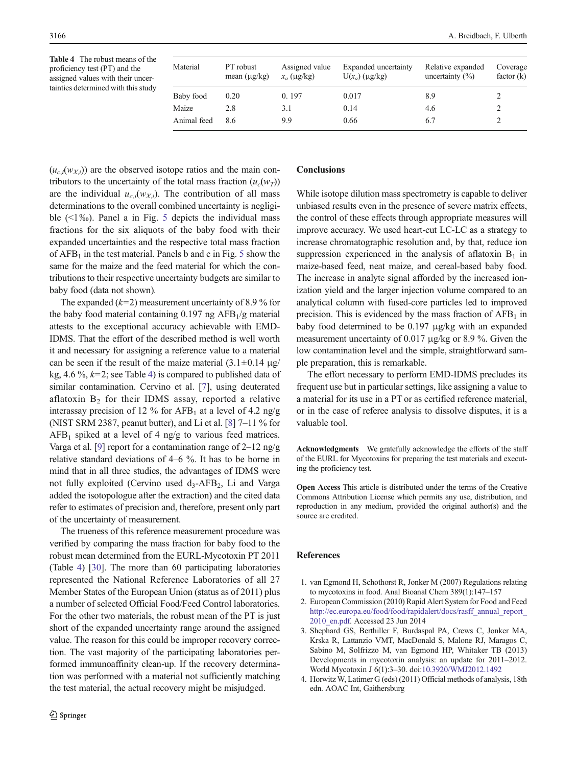<span id="page-7-0"></span>Table 4 The robust means of the proficiency test (PT) and the assigned values with their uncertainties determined with this study

| Material    | PT robust<br>mean $(\mu g/kg)$ | Assigned value<br>$x_a$ (µg/kg) | Expanded uncertainty<br>$U(x_a)$ (µg/kg) | Relative expanded<br>uncertainty $(\%)$ | Coverage<br>factor $(k)$ |
|-------------|--------------------------------|---------------------------------|------------------------------------------|-----------------------------------------|--------------------------|
| Baby food   | 0.20                           | 0.197                           | 0.017                                    | 8.9                                     |                          |
| Maize       | 2.8                            | 3.1                             | 0.14                                     | 4.6                                     |                          |
| Animal feed | 8.6                            | 9.9                             | 0.66                                     | 6.7                                     |                          |

 $(u_{c,i}(w_{Xi}))$  are the observed isotope ratios and the main contributors to the uncertainty of the total mass fraction  $(u_c(w_T))$ are the individual  $u_{c,i}(w_{Xi})$ . The contribution of all mass determinations to the overall combined uncertainty is negligible  $(\leq 1\%)$ . Panel a in Fig. [5](#page-6-0) depicts the individual mass fractions for the six aliquots of the baby food with their expanded uncertainties and the respective total mass fraction of  $AFB<sub>1</sub>$  in the test material. Panels b and c in Fig. [5](#page-6-0) show the same for the maize and the feed material for which the contributions to their respective uncertainty budgets are similar to baby food (data not shown).

The expanded  $(k=2)$  measurement uncertainty of 8.9 % for the baby food material containing  $0.197$  ng AFB<sub>1</sub>/g material attests to the exceptional accuracy achievable with EMD-IDMS. That the effort of the described method is well worth it and necessary for assigning a reference value to a material can be seen if the result of the maize material  $(3.1 \pm 0.14 \text{ µg})$ kg, 4.6 %,  $k=2$ ; see Table 4) is compared to published data of similar contamination. Cervino et al. [\[7](#page-8-0)], using deuterated aflatoxin  $B_2$  for their IDMS assay, reported a relative interassay precision of 12 % for  $AFB<sub>1</sub>$  at a level of 4.2 ng/g (NIST SRM 2387, peanut butter), and Li et al.  $[8]$  $[8]$  7–11 % for  $AFB<sub>1</sub>$  spiked at a level of 4 ng/g to various feed matrices. Varga et al. [[9](#page-8-0)] report for a contamination range of  $2-12$  ng/g relative standard deviations of 4–6 %. It has to be borne in mind that in all three studies, the advantages of IDMS were not fully exploited (Cervino used  $d_3$ -AFB<sub>2</sub>, Li and Varga added the isotopologue after the extraction) and the cited data refer to estimates of precision and, therefore, present only part of the uncertainty of measurement.

The trueness of this reference measurement procedure was verified by comparing the mass fraction for baby food to the robust mean determined from the EURL-Mycotoxin PT 2011 (Table 4) [[30](#page-8-0)]. The more than 60 participating laboratories represented the National Reference Laboratories of all 27 Member States of the European Union (status as of 2011) plus a number of selected Official Food/Feed Control laboratories. For the other two materials, the robust mean of the PT is just short of the expanded uncertainty range around the assigned value. The reason for this could be improper recovery correction. The vast majority of the participating laboratories performed immunoaffinity clean-up. If the recovery determination was performed with a material not sufficiently matching the test material, the actual recovery might be misjudged.

#### **Conclusions**

While isotope dilution mass spectrometry is capable to deliver unbiased results even in the presence of severe matrix effects, the control of these effects through appropriate measures will improve accuracy. We used heart-cut LC-LC as a strategy to increase chromatographic resolution and, by that, reduce ion suppression experienced in the analysis of aflatoxin  $B_1$  in maize-based feed, neat maize, and cereal-based baby food. The increase in analyte signal afforded by the increased ionization yield and the larger injection volume compared to an analytical column with fused-core particles led to improved precision. This is evidenced by the mass fraction of  $AFB<sub>1</sub>$  in baby food determined to be 0.197 μg/kg with an expanded measurement uncertainty of 0.017 μg/kg or 8.9 %. Given the low contamination level and the simple, straightforward sample preparation, this is remarkable.

The effort necessary to perform EMD-IDMS precludes its frequent use but in particular settings, like assigning a value to a material for its use in a PT or as certified reference material, or in the case of referee analysis to dissolve disputes, it is a valuable tool.

Acknowledgments We gratefully acknowledge the efforts of the staff of the EURL for Mycotoxins for preparing the test materials and executing the proficiency test.

Open Access This article is distributed under the terms of the Creative Commons Attribution License which permits any use, distribution, and reproduction in any medium, provided the original author(s) and the source are credited.

#### References

- 1. van Egmond H, Schothorst R, Jonker M (2007) Regulations relating to mycotoxins in food. Anal Bioanal Chem 389(1):147–157
- 2. European Commission (2010) Rapid Alert System for Food and Feed [http://ec.europa.eu/food/food/rapidalert/docs/rasff\\_annual\\_report\\_](http://ec.europa.eu/food/food/rapidalert/docs/rasff_annual_report_2010_en.pdf) [2010\\_en.pdf](http://ec.europa.eu/food/food/rapidalert/docs/rasff_annual_report_2010_en.pdf). Accessed 23 Jun 2014
- 3. Shephard GS, Berthiller F, Burdaspal PA, Crews C, Jonker MA, Krska R, Lattanzio VMT, MacDonald S, Malone RJ, Maragos C, Sabino M, Solfrizzo M, van Egmond HP, Whitaker TB (2013) Developments in mycotoxin analysis: an update for 2011–2012. World Mycotoxin J 6(1):3–30. doi:[10.3920/WMJ2012.1492](http://dx.doi.org/10.3920/WMJ2012.1492)
- 4. Horwitz W, Latimer G (eds) (2011) Official methods of analysis, 18th edn. AOAC Int, Gaithersburg